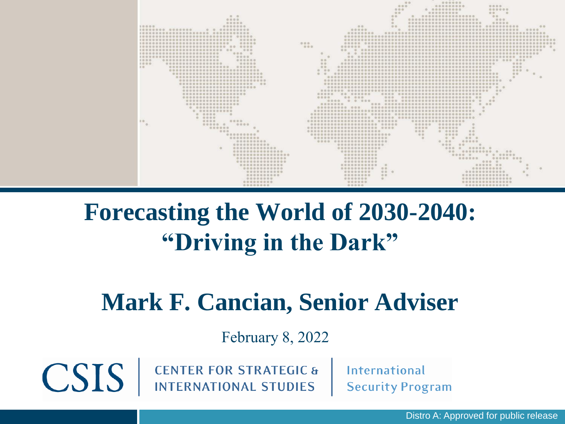

# **Forecasting the World of 2030-2040: "Driving in the Dark"**

# **Mark F. Cancian, Senior Adviser**

February 8, 2022

**CENTER FOR STRATEGIC & INTERNATIONAL STUDIES** 

CSIS |

**International Security Program** 

Distro A: Approved for public release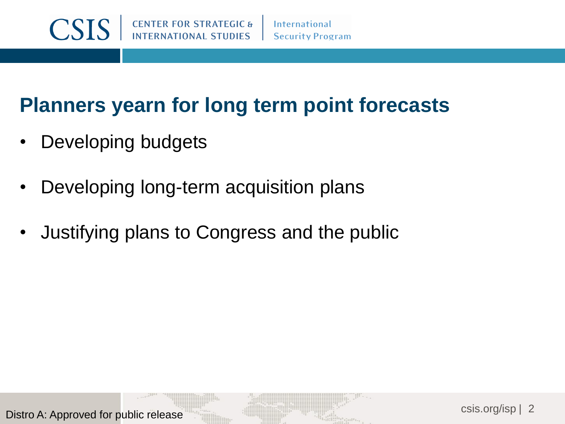#### **International Security Program**

# **Planners yearn for long term point forecasts**

- Developing budgets
- Developing long-term acquisition plans
- Justifying plans to Congress and the public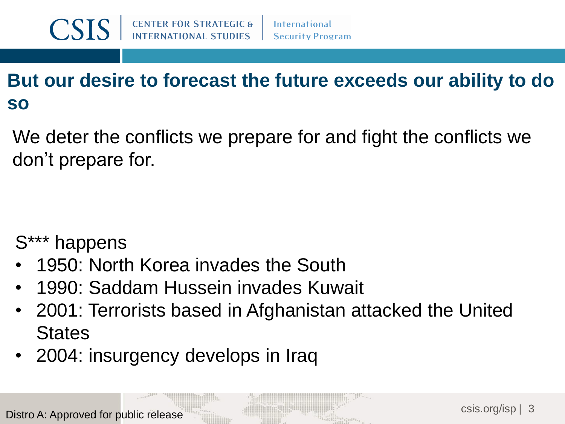#### **But our desire to forecast the future exceeds our ability to do so**

We deter the conflicts we prepare for and fight the conflicts we don't prepare for.

S\*\*\* happens

- 1950: North Korea invades the South
- 1990: Saddam Hussein invades Kuwait
- 2001: Terrorists based in Afghanistan attacked the United **States**
- 2004: insurgency develops in Iraq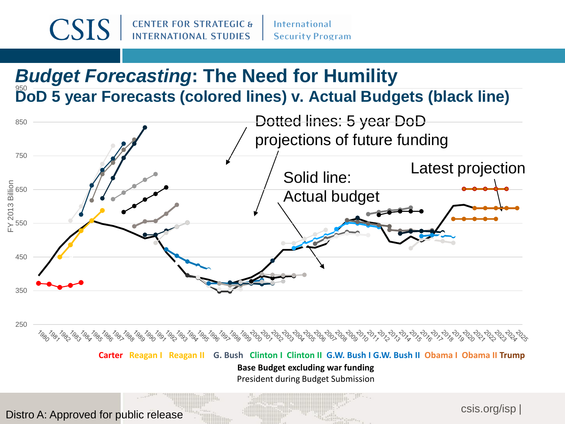#### *Budget Forecasting***: The Need for Humility DoD 5 year Forecasts (colored lines) v. Actual Budgets (black line)** 950



**Carter Reagan I Reagan II G. Bush Clinton I Clinton II G.W. Bush I G.W. Bush II Obama I Obama II Trump Base Budget excluding war funding** President during Budget Submission

Distro A: Approved for public release

csis.org/isp |